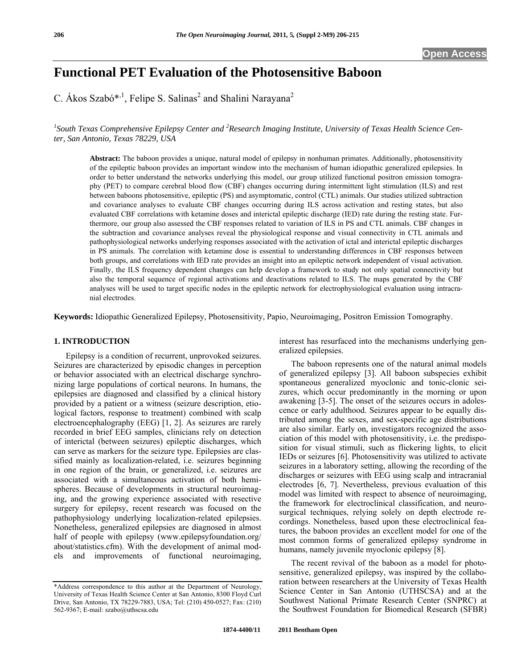# **Functional PET Evaluation of the Photosensitive Baboon**

C. Ákos Szabó\*<sup>,1</sup>, Felipe S. Salinas<sup>2</sup> and Shalini Narayana<sup>2</sup>

<sup>1</sup> South Texas Comprehensive Epilepsy Center and <sup>2</sup> Research Imaging Institute, University of Texas Health Science Cen*ter, San Antonio, Texas 78229, USA* 

**Abstract:** The baboon provides a unique, natural model of epilepsy in nonhuman primates. Additionally, photosensitivity of the epileptic baboon provides an important window into the mechanism of human idiopathic generalized epilepsies. In order to better understand the networks underlying this model, our group utilized functional positron emission tomography (PET) to compare cerebral blood flow (CBF) changes occurring during intermittent light stimulation (ILS) and rest between baboons photosensitive, epileptic (PS) and asymptomatic, control (CTL) animals. Our studies utilized subtraction and covariance analyses to evaluate CBF changes occurring during ILS across activation and resting states, but also evaluated CBF correlations with ketamine doses and interictal epileptic discharge (IED) rate during the resting state. Furthermore, our group also assessed the CBF responses related to variation of ILS in PS and CTL animals. CBF changes in the subtraction and covariance analyses reveal the physiological response and visual connectivity in CTL animals and pathophysiological networks underlying responses associated with the activation of ictal and interictal epileptic discharges in PS animals. The correlation with ketamine dose is essential to understanding differences in CBF responses between both groups, and correlations with IED rate provides an insight into an epileptic network independent of visual activation. Finally, the ILS frequency dependent changes can help develop a framework to study not only spatial connectivity but also the temporal sequence of regional activations and deactivations related to ILS. The maps generated by the CBF analyses will be used to target specific nodes in the epileptic network for electrophysiological evaluation using intracranial electrodes.

**Keywords:** Idiopathic Generalized Epilepsy, Photosensitivity, Papio, Neuroimaging, Positron Emission Tomography.

# **1. INTRODUCTION**

 Epilepsy is a condition of recurrent, unprovoked seizures. Seizures are characterized by episodic changes in perception or behavior associated with an electrical discharge synchronizing large populations of cortical neurons. In humans, the epilepsies are diagnosed and classified by a clinical history provided by a patient or a witness (seizure description, etiological factors, response to treatment) combined with scalp electroencephalography (EEG) [1, 2]. As seizures are rarely recorded in brief EEG samples, clinicians rely on detection of interictal (between seizures) epileptic discharges, which can serve as markers for the seizure type. Epilepsies are classified mainly as localization-related, i.e. seizures beginning in one region of the brain, or generalized, i.e. seizures are associated with a simultaneous activation of both hemispheres. Because of developments in structural neuroimaging, and the growing experience associated with resective surgery for epilepsy, recent research was focused on the pathophysiology underlying localization-related epilepsies. Nonetheless, generalized epilepsies are diagnosed in almost half of people with epilepsy (www.epilepsyfoundation.org/ about/statistics.cfm). With the development of animal models and improvements of functional neuroimaging,

interest has resurfaced into the mechanisms underlying generalized epilepsies.

 The baboon represents one of the natural animal models of generalized epilepsy [3]. All baboon subspecies exhibit spontaneous generalized myoclonic and tonic-clonic seizures, which occur predominantly in the morning or upon awakening [3-5]. The onset of the seizures occurs in adolescence or early adulthood. Seizures appear to be equally distributed among the sexes, and sex-specific age distributions are also similar. Early on, investigators recognized the association of this model with photosensitivity, i.e. the predisposition for visual stimuli, such as flickering lights, to elicit IEDs or seizures [6]. Photosensitivity was utilized to activate seizures in a laboratory setting, allowing the recording of the discharges or seizures with EEG using scalp and intracranial electrodes [6, 7]. Nevertheless, previous evaluation of this model was limited with respect to absence of neuroimaging, the framework for electroclinical classification, and neurosurgical techniques, relying solely on depth electrode recordings. Nonetheless, based upon these electroclinical features, the baboon provides an excellent model for one of the most common forms of generalized epilepsy syndrome in humans, namely juvenile myoclonic epilepsy [8].

 The recent revival of the baboon as a model for photosensitive, generalized epilepsy, was inspired by the collaboration between researchers at the University of Texas Health Science Center in San Antonio (UTHSCSA) and at the Southwest National Primate Research Center (SNPRC) at the Southwest Foundation for Biomedical Research (SFBR)

<sup>\*</sup>Address correspondence to this author at the Department of Neurology, University of Texas Health Science Center at San Antonio, 8300 Floyd Curl Drive, San Antonio, TX 78229-7883, USA; Tel: (210) 450-0527; Fax: (210) 562-9367; E-mail: szabo@uthscsa.edu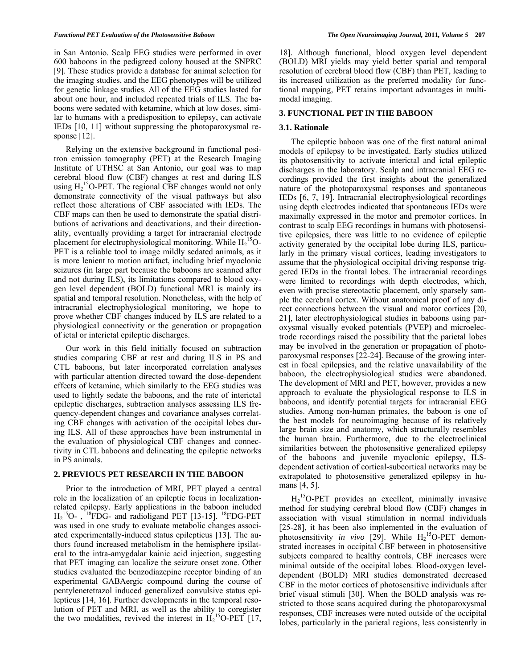in San Antonio. Scalp EEG studies were performed in over 600 baboons in the pedigreed colony housed at the SNPRC [9]. These studies provide a database for animal selection for the imaging studies, and the EEG phenotypes will be utilized for genetic linkage studies. All of the EEG studies lasted for about one hour, and included repeated trials of ILS. The baboons were sedated with ketamine, which at low doses, similar to humans with a predisposition to epilepsy, can activate IEDs [10, 11] without suppressing the photoparoxysmal response [12].

 Relying on the extensive background in functional positron emission tomography (PET) at the Research Imaging Institute of UTHSC at San Antonio, our goal was to map cerebral blood flow (CBF) changes at rest and during ILS using  $H_2$ <sup>15</sup>O-PET. The regional CBF changes would not only demonstrate connectivity of the visual pathways but also reflect those alterations of CBF associated with IEDs. The CBF maps can then be used to demonstrate the spatial distributions of activations and deactivations, and their directionality, eventually providing a target for intracranial electrode placement for electrophysiological monitoring. While  $H_2$ <sup>15</sup>O-PET is a reliable tool to image mildly sedated animals, as it is more lenient to motion artifact, including brief myoclonic seizures (in large part because the baboons are scanned after and not during ILS), its limitations compared to blood oxygen level dependent (BOLD) functional MRI is mainly its spatial and temporal resolution. Nonetheless, with the help of intracranial electrophysiological monitoring, we hope to prove whether CBF changes induced by ILS are related to a physiological connectivity or the generation or propagation of ictal or interictal epileptic discharges.

 Our work in this field initially focused on subtraction studies comparing CBF at rest and during ILS in PS and CTL baboons, but later incorporated correlation analyses with particular attention directed toward the dose-dependent effects of ketamine, which similarly to the EEG studies was used to lightly sedate the baboons, and the rate of interictal epileptic discharges, subtraction analyses assessing ILS frequency-dependent changes and covariance analyses correlating CBF changes with activation of the occipital lobes during ILS. All of these approaches have been instrumental in the evaluation of physiological CBF changes and connectivity in CTL baboons and delineating the epileptic networks in PS animals.

### **2. PREVIOUS PET RESEARCH IN THE BABOON**

 Prior to the introduction of MRI, PET played a central role in the localization of an epileptic focus in localizationrelated epilepsy. Early applications in the baboon included  $H<sub>2</sub><sup>15</sup>O-$ ,  $<sup>18</sup>FDG-$  and radioligand PET [13-15]. <sup>18</sup>FDG-PET</sup> was used in one study to evaluate metabolic changes associated experimentally-induced status epilepticus [13]. The authors found increased metabolism in the hemisphere ipsilateral to the intra-amygdalar kainic acid injection, suggesting that PET imaging can localize the seizure onset zone. Other studies evaluated the benzodiazepine receptor binding of an experimental GABAergic compound during the course of pentylenetetrazol induced generalized convulsive status epilepticus [14, 16]. Further developments in the temporal resolution of PET and MRI, as well as the ability to coregister the two modalities, revived the interest in  $H_2^{15}O-PET$  [17, 18]. Although functional, blood oxygen level dependent (BOLD) MRI yields may yield better spatial and temporal resolution of cerebral blood flow (CBF) than PET, leading to its increased utilization as the preferred modality for functional mapping, PET retains important advantages in multimodal imaging.

### **3. FUNCTIONAL PET IN THE BABOON**

### **3.1. Rationale**

 The epileptic baboon was one of the first natural animal models of epilepsy to be investigated. Early studies utilized its photosensitivity to activate interictal and ictal epileptic discharges in the laboratory. Scalp and intracranial EEG recordings provided the first insights about the generalized nature of the photoparoxysmal responses and spontaneous IEDs [6, 7, 19]. Intracranial electrophysiological recordings using depth electrodes indicated that spontaneous IEDs were maximally expressed in the motor and premotor cortices. In contrast to scalp EEG recordings in humans with photosensitive epilepsies, there was little to no evidence of epileptic activity generated by the occipital lobe during ILS, particularly in the primary visual cortices, leading investigators to assume that the physiological occipital driving response triggered IEDs in the frontal lobes. The intracranial recordings were limited to recordings with depth electrodes, which, even with precise stereotactic placement, only sparsely sample the cerebral cortex. Without anatomical proof of any direct connections between the visual and motor cortices [20, 21], later electrophysiological studies in baboons using paroxysmal visually evoked potentials (PVEP) and microelectrode recordings raised the possibility that the parietal lobes may be involved in the generation or propagation of photoparoxysmal responses [22-24]. Because of the growing interest in focal epilepsies, and the relative unavailability of the baboon, the electrophysiological studies were abandoned. The development of MRI and PET, however, provides a new approach to evaluate the physiological response to ILS in baboons, and identify potential targets for intracranial EEG studies. Among non-human primates, the baboon is one of the best models for neuroimaging because of its relatively large brain size and anatomy, which structurally resembles the human brain. Furthermore, due to the electroclinical similarities between the photosensitive generalized epilepsy of the baboons and juvenile myoclonic epilepsy, ILSdependent activation of cortical-subcortical networks may be extrapolated to photosensitive generalized epilepsy in humans [4, 5].

 $H_2$ <sup>15</sup>O-PET provides an excellent, minimally invasive method for studying cerebral blood flow (CBF) changes in association with visual stimulation in normal individuals [25-28], it has been also implemented in the evaluation of photosensitivity *in vivo* [29]. While  $H_2$ <sup>15</sup>O-PET demonstrated increases in occipital CBF between in photosensitive subjects compared to healthy controls, CBF increases were minimal outside of the occipital lobes. Blood-oxygen leveldependent (BOLD) MRI studies demonstrated decreased CBF in the motor cortices of photosensitive individuals after brief visual stimuli [30]. When the BOLD analysis was restricted to those scans acquired during the photoparoxysmal responses, CBF increases were noted outside of the occipital lobes, particularly in the parietal regions, less consistently in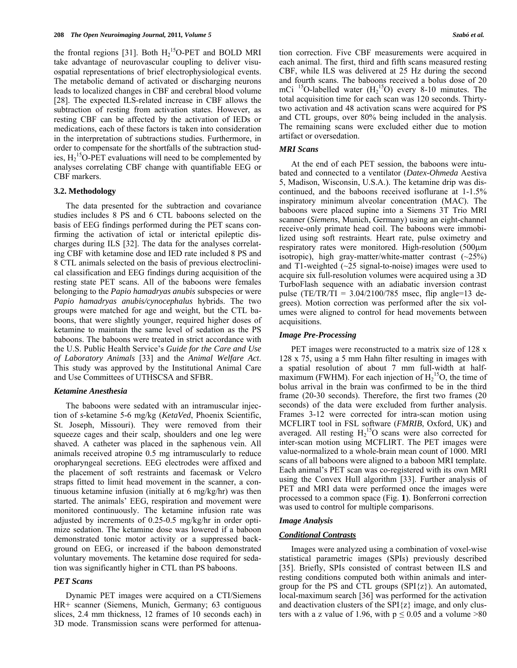the frontal regions [31]. Both  $H_2$ <sup>15</sup>O-PET and BOLD MRI take advantage of neurovascular coupling to deliver visuospatial representations of brief electrophysiological events. The metabolic demand of activated or discharging neurons leads to localized changes in CBF and cerebral blood volume [28]. The expected ILS-related increase in CBF allows the subtraction of resting from activation states. However, as resting CBF can be affected by the activation of IEDs or medications, each of these factors is taken into consideration in the interpretation of subtractions studies. Furthermore, in order to compensate for the shortfalls of the subtraction studies,  $H_2$ <sup>15</sup>O-PET evaluations will need to be complemented by analyses correlating CBF change with quantifiable EEG or CBF markers.

### **3.2. Methodology**

 The data presented for the subtraction and covariance studies includes 8 PS and 6 CTL baboons selected on the basis of EEG findings performed during the PET scans confirming the activation of ictal or interictal epileptic discharges during ILS [32]. The data for the analyses correlating CBF with ketamine dose and IED rate included 8 PS and 8 CTL animals selected on the basis of previous electroclinical classification and EEG findings during acquisition of the resting state PET scans. All of the baboons were females belonging to the *Papio hamadryas anubis* subspecies or were *Papio hamadryas anubis/cynocephalus* hybrids. The two groups were matched for age and weight, but the CTL baboons, that were slightly younger, required higher doses of ketamine to maintain the same level of sedation as the PS baboons. The baboons were treated in strict accordance with the U.S. Public Health Service's *Guide for the Care and Use of Laboratory Animals* [33] and the *Animal Welfare Act*. This study was approved by the Institutional Animal Care and Use Committees of UTHSCSA and SFBR.

### *Ketamine Anesthesia*

 The baboons were sedated with an intramuscular injection of *s-*ketamine 5-6 mg/kg (*KetaVed*, Phoenix Scientific, St. Joseph, Missouri). They were removed from their squeeze cages and their scalp, shoulders and one leg were shaved. A catheter was placed in the saphenous vein. All animals received atropine 0.5 mg intramuscularly to reduce oropharyngeal secretions. EEG electrodes were affixed and the placement of soft restraints and facemask or Velcro straps fitted to limit head movement in the scanner, a continuous ketamine infusion (initially at 6 mg/kg/hr) was then started. The animals' EEG, respiration and movement were monitored continuously. The ketamine infusion rate was adjusted by increments of 0.25-0.5 mg/kg/hr in order optimize sedation. The ketamine dose was lowered if a baboon demonstrated tonic motor activity or a suppressed background on EEG, or increased if the baboon demonstrated voluntary movements. The ketamine dose required for sedation was significantly higher in CTL than PS baboons.

### *PET Scans*

 Dynamic PET images were acquired on a CTI/Siemens HR+ scanner (Siemens, Munich, Germany; 63 contiguous slices, 2.4 mm thickness, 12 frames of 10 seconds each) in 3D mode. Transmission scans were performed for attenuation correction. Five CBF measurements were acquired in each animal. The first, third and fifth scans measured resting CBF, while ILS was delivered at 25 Hz during the second and fourth scans. The baboons received a bolus dose of 20 mCi  $^{15}$ O-labelled water ( $H_2$ <sup>15</sup>O) every 8-10 minutes. The total acquisition time for each scan was 120 seconds. Thirtytwo activation and 48 activation scans were acquired for PS and CTL groups, over 80% being included in the analysis. The remaining scans were excluded either due to motion artifact or oversedation.

# *MRI Scans*

 At the end of each PET session, the baboons were intubated and connected to a ventilator (*Datex-Ohmeda* Aestiva 5, Madison, Wisconsin, U.S.A.). The ketamine drip was discontinued, and the baboons received isoflurane at 1-1.5% inspiratory minimum alveolar concentration (MAC). The baboons were placed supine into a Siemens 3T Trio MRI scanner (*Siemens*, Munich, Germany) using an eight-channel receive-only primate head coil. The baboons were immobilized using soft restraints. Heart rate, pulse oximetry and respiratory rates were monitored. High-resolution (500 $\mu$ m) isotropic), high gray-matter/white-matter contrast  $(\sim 25\%)$ and T1-weighted  $(\sim 25 \text{ signal-to-noise})$  images were used to acquire six full-resolution volumes were acquired using a 3D TurboFlash sequence with an adiabatic inversion contrast pulse (TE/TR/TI =  $3.04/2100/785$  msec, flip angle=13 degrees). Motion correction was performed after the six volumes were aligned to control for head movements between acquisitions.

### *Image Pre-Processing*

 PET images were reconstructed to a matrix size of 128 x 128 x 75, using a 5 mm Hahn filter resulting in images with a spatial resolution of about 7 mm full-width at halfmaximum (FWHM). For each injection of  $H_2$ <sup>15</sup>O, the time of bolus arrival in the brain was confirmed to be in the third frame (20-30 seconds). Therefore, the first two frames (20 seconds) of the data were excluded from further analysis. Frames 3-12 were corrected for intra-scan motion using MCFLIRT tool in FSL software (*FMRIB*, Oxford, UK) and averaged. All resting  $H_2$ <sup>15</sup>O scans were also corrected for inter-scan motion using MCFLIRT. The PET images were value-normalized to a whole-brain mean count of 1000. MRI scans of all baboons were aligned to a baboon MRI template. Each animal's PET scan was co-registered with its own MRI using the Convex Hull algorithm [33]. Further analysis of PET and MRI data were performed once the images were processed to a common space (Fig. **1**). Bonferroni correction was used to control for multiple comparisons.

### *Image Analysis*

#### *Conditional Contrasts*

 Images were analyzed using a combination of voxel-wise statistical parametric images (SPIs) previously described [35]. Briefly, SPIs consisted of contrast between ILS and resting conditions computed both within animals and intergroup for the PS and CTL groups  $(SPI\{z\})$ . An automated, local-maximum search [36] was performed for the activation and deactivation clusters of the  $SPI\{z\}$  image, and only clusters with a z value of 1.96, with  $p \le 0.05$  and a volume >80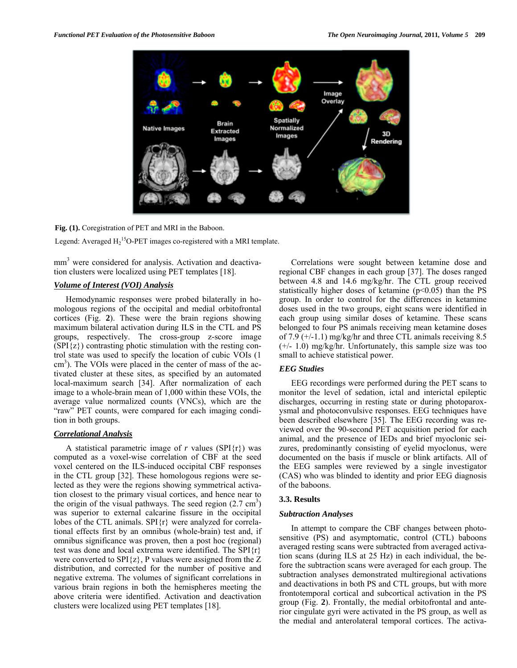

**Fig. (1).** Coregistration of PET and MRI in the Baboon.

Legend: Averaged  $H_2$ <sup>15</sup>O-PET images co-registered with a MRI template.

mm<sup>3</sup> were considered for analysis. Activation and deactivation clusters were localized using PET templates [18].

# *Volume of Interest (VOI) Analysis*

 Hemodynamic responses were probed bilaterally in homologous regions of the occipital and medial orbitofrontal cortices (Fig. **2**). These were the brain regions showing maximum bilateral activation during ILS in the CTL and PS groups, respectively. The cross-group z-score image  $(SPI\{z\})$  contrasting photic stimulation with the resting control state was used to specify the location of cubic VOIs (1 cm<sup>3</sup>). The VOIs were placed in the center of mass of the activated cluster at these sites, as specified by an automated local-maximum search [34]. After normalization of each image to a whole-brain mean of 1,000 within these VOIs, the average value normalized counts (VNCs), which are the "raw" PET counts, were compared for each imaging condition in both groups.

# *Correlational Analysis*

A statistical parametric image of  $r$  values (SPI $\{r\}$ ) was computed as a voxel-wise correlation of CBF at the seed voxel centered on the ILS-induced occipital CBF responses in the CTL group [32]. These homologous regions were selected as they were the regions showing symmetrical activation closest to the primary visual cortices, and hence near to the origin of the visual pathways. The seed region  $(2.7 \text{ cm}^3)$ was superior to external calcarine fissure in the occipital lobes of the CTL animals. SPI{r} were analyzed for correlational effects first by an omnibus (whole-brain) test and, if omnibus significance was proven, then a post hoc (regional) test was done and local extrema were identified. The SPI{r} were converted to  $SPI\{z\}$ , P values were assigned from the Z distribution, and corrected for the number of positive and negative extrema. The volumes of significant correlations in various brain regions in both the hemispheres meeting the above criteria were identified. Activation and deactivation clusters were localized using PET templates [18].

 Correlations were sought between ketamine dose and regional CBF changes in each group [37]. The doses ranged between 4.8 and 14.6 mg/kg/hr. The CTL group received statistically higher doses of ketamine  $(p<0.05)$  than the PS group. In order to control for the differences in ketamine doses used in the two groups, eight scans were identified in each group using similar doses of ketamine. These scans belonged to four PS animals receiving mean ketamine doses of 7.9 (+/-1.1) mg/kg/hr and three CTL animals receiving 8.5 (+/- 1.0) mg/kg/hr. Unfortunately, this sample size was too small to achieve statistical power.

### *EEG Studies*

 EEG recordings were performed during the PET scans to monitor the level of sedation, ictal and interictal epileptic discharges, occurring in resting state or during photoparoxysmal and photoconvulsive responses. EEG techniques have been described elsewhere [35]. The EEG recording was reviewed over the 90-second PET acquisition period for each animal, and the presence of IEDs and brief myoclonic seizures, predominantly consisting of eyelid myoclonus, were documented on the basis if muscle or blink artifacts. All of the EEG samples were reviewed by a single investigator (CAS) who was blinded to identity and prior EEG diagnosis of the baboons.

# **3.3. Results**

### *Subtraction Analyses*

 In attempt to compare the CBF changes between photosensitive (PS) and asymptomatic, control (CTL) baboons averaged resting scans were subtracted from averaged activation scans (during ILS at 25 Hz) in each individual, the before the subtraction scans were averaged for each group. The subtraction analyses demonstrated multiregional activations and deactivations in both PS and CTL groups, but with more frontotemporal cortical and subcortical activation in the PS group (Fig. **2**). Frontally, the medial orbitofrontal and anterior cingulate gyri were activated in the PS group, as well as the medial and anterolateral temporal cortices. The activa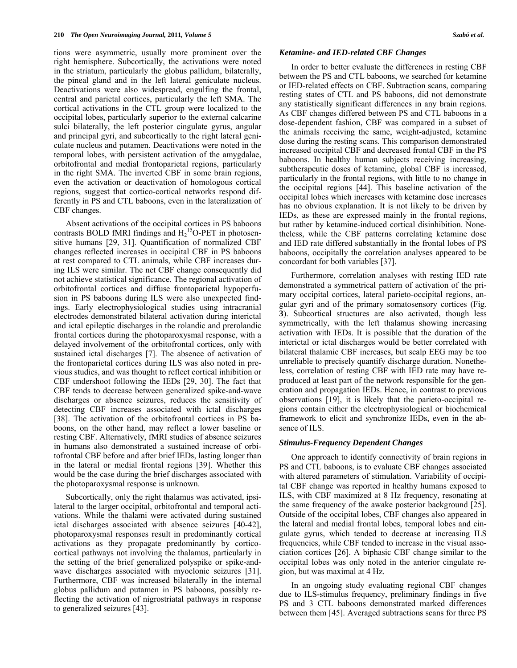tions were asymmetric, usually more prominent over the right hemisphere. Subcortically, the activations were noted in the striatum, particularly the globus pallidum, bilaterally, the pineal gland and in the left lateral geniculate nucleus. Deactivations were also widespread, engulfing the frontal, central and parietal cortices, particularly the left SMA. The cortical activations in the CTL group were localized to the occipital lobes, particularly superior to the external calcarine sulci bilaterally, the left posterior cingulate gyrus, angular and principal gyri, and subcortically to the right lateral geniculate nucleus and putamen. Deactivations were noted in the temporal lobes, with persistent activation of the amygdalae, orbitofrontal and medial frontoparietal regions, particularly in the right SMA. The inverted CBF in some brain regions, even the activation or deactivation of homologous cortical regions, suggest that cortico-cortical networks respond differently in PS and CTL baboons, even in the lateralization of CBF changes.

 Absent activations of the occipital cortices in PS baboons contrasts BOLD fMRI findings and  $H_2$ <sup>15</sup>O-PET in photosensitive humans [29, 31]. Quantification of normalized CBF changes reflected increases in occipital CBF in PS baboons at rest compared to CTL animals, while CBF increases during ILS were similar. The net CBF change consequently did not achieve statistical significance. The regional activation of orbitofrontal cortices and diffuse frontoparietal hypoperfusion in PS baboons during ILS were also unexpected findings. Early electrophysiological studies using intracranial electrodes demonstrated bilateral activation during interictal and ictal epileptic discharges in the rolandic and prerolandic frontal cortices during the photoparoxysmal response, with a delayed involvement of the orbitofrontal cortices, only with sustained ictal discharges [7]. The absence of activation of the frontoparietal cortices during ILS was also noted in previous studies, and was thought to reflect cortical inhibition or CBF undershoot following the IEDs [29, 30]. The fact that CBF tends to decrease between generalized spike-and-wave discharges or absence seizures, reduces the sensitivity of detecting CBF increases associated with ictal discharges [38]. The activation of the orbitofrontal cortices in PS baboons, on the other hand, may reflect a lower baseline or resting CBF. Alternatively, fMRI studies of absence seizures in humans also demonstrated a sustained increase of orbitofrontal CBF before and after brief IEDs, lasting longer than in the lateral or medial frontal regions [39]. Whether this would be the case during the brief discharges associated with the photoparoxysmal response is unknown.

 Subcortically, only the right thalamus was activated, ipsilateral to the larger occipital, orbitofrontal and temporal activations. While the thalami were activated during sustained ictal discharges associated with absence seizures [40-42], photoparoxysmal responses result in predominantly cortical activations as they propagate predominantly by corticocortical pathways not involving the thalamus, particularly in the setting of the brief generalized polyspike or spike-andwave discharges associated with myoclonic seizures [31]. Furthermore, CBF was increased bilaterally in the internal globus pallidum and putamen in PS baboons, possibly reflecting the activation of nigrostriatal pathways in response to generalized seizures [43].

#### *Ketamine- and IED-related CBF Changes*

 In order to better evaluate the differences in resting CBF between the PS and CTL baboons, we searched for ketamine or IED-related effects on CBF. Subtraction scans, comparing resting states of CTL and PS baboons, did not demonstrate any statistically significant differences in any brain regions. As CBF changes differed between PS and CTL baboons in a dose-dependent fashion, CBF was compared in a subset of the animals receiving the same, weight-adjusted, ketamine dose during the resting scans. This comparison demonstrated increased occipital CBF and decreased frontal CBF in the PS baboons. In healthy human subjects receiving increasing, subtherapeutic doses of ketamine, global CBF is increased, particularly in the frontal regions, with little to no change in the occipital regions [44]. This baseline activation of the occipital lobes which increases with ketamine dose increases has no obvious explanation. It is not likely to be driven by IEDs, as these are expressed mainly in the frontal regions, but rather by ketamine-induced cortical disinhibition. Nonetheless, while the CBF patterns correlating ketamine dose and IED rate differed substantially in the frontal lobes of PS baboons, occipitally the correlation analyses appeared to be concordant for both variables [37].

 Furthermore, correlation analyses with resting IED rate demonstrated a symmetrical pattern of activation of the primary occipital cortices, lateral parieto-occipital regions, angular gyri and of the primary somatosensory cortices (Fig. **3**). Subcortical structures are also activated, though less symmetrically, with the left thalamus showing increasing activation with IEDs. It is possible that the duration of the interictal or ictal discharges would be better correlated with bilateral thalamic CBF increases, but scalp EEG may be too unreliable to precisely quantify discharge duration. Nonetheless, correlation of resting CBF with IED rate may have reproduced at least part of the network responsible for the generation and propagation IEDs. Hence, in contrast to previous observations [19], it is likely that the parieto-occipital regions contain either the electrophysiological or biochemical framework to elicit and synchronize IEDs, even in the absence of ILS.

### *Stimulus-Frequency Dependent Changes*

 One approach to identify connectivity of brain regions in PS and CTL baboons, is to evaluate CBF changes associated with altered parameters of stimulation. Variability of occipital CBF change was reported in healthy humans exposed to ILS, with CBF maximized at 8 Hz frequency, resonating at the same frequency of the awake posterior background [25]. Outside of the occipital lobes, CBF changes also appeared in the lateral and medial frontal lobes, temporal lobes and cingulate gyrus, which tended to decrease at increasing ILS frequencies, while CBF tended to increase in the visual association cortices [26]. A biphasic CBF change similar to the occipital lobes was only noted in the anterior cingulate region, but was maximal at 4 Hz.

 In an ongoing study evaluating regional CBF changes due to ILS-stimulus frequency, preliminary findings in five PS and 3 CTL baboons demonstrated marked differences between them [45]. Averaged subtractions scans for three PS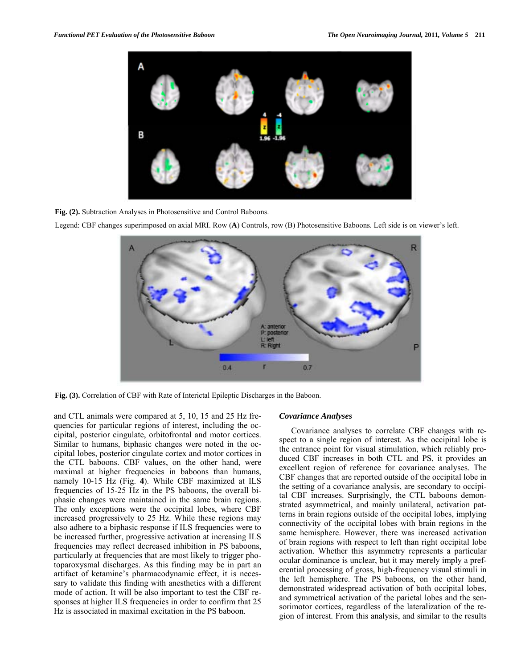

**Fig. (2).** Subtraction Analyses in Photosensitive and Control Baboons.

Legend: CBF changes superimposed on axial MRI. Row (**A**) Controls, row (B) Photosensitive Baboons. Left side is on viewer's left.



**Fig. (3).** Correlation of CBF with Rate of Interictal Epileptic Discharges in the Baboon.

and CTL animals were compared at 5, 10, 15 and 25 Hz frequencies for particular regions of interest, including the occipital, posterior cingulate, orbitofrontal and motor cortices. Similar to humans, biphasic changes were noted in the occipital lobes, posterior cingulate cortex and motor cortices in the CTL baboons. CBF values, on the other hand, were maximal at higher frequencies in baboons than humans, namely 10-15 Hz (Fig. **4**). While CBF maximized at ILS frequencies of 15-25 Hz in the PS baboons, the overall biphasic changes were maintained in the same brain regions. The only exceptions were the occipital lobes, where CBF increased progressively to 25 Hz. While these regions may also adhere to a biphasic response if ILS frequencies were to be increased further, progressive activation at increasing ILS frequencies may reflect decreased inhibition in PS baboons, particularly at frequencies that are most likely to trigger photoparoxysmal discharges. As this finding may be in part an artifact of ketamine's pharmacodynamic effect, it is necessary to validate this finding with anesthetics with a different mode of action. It will be also important to test the CBF responses at higher ILS frequencies in order to confirm that 25 Hz is associated in maximal excitation in the PS baboon.

### *Covariance Analyses*

 Covariance analyses to correlate CBF changes with respect to a single region of interest. As the occipital lobe is the entrance point for visual stimulation, which reliably produced CBF increases in both CTL and PS, it provides an excellent region of reference for covariance analyses. The CBF changes that are reported outside of the occipital lobe in the setting of a covariance analysis, are secondary to occipital CBF increases. Surprisingly, the CTL baboons demonstrated asymmetrical, and mainly unilateral, activation patterns in brain regions outside of the occipital lobes, implying connectivity of the occipital lobes with brain regions in the same hemisphere. However, there was increased activation of brain regions with respect to left than right occipital lobe activation. Whether this asymmetry represents a particular ocular dominance is unclear, but it may merely imply a preferential processing of gross, high-frequency visual stimuli in the left hemisphere. The PS baboons, on the other hand, demonstrated widespread activation of both occipital lobes, and symmetrical activation of the parietal lobes and the sensorimotor cortices, regardless of the lateralization of the region of interest. From this analysis, and similar to the results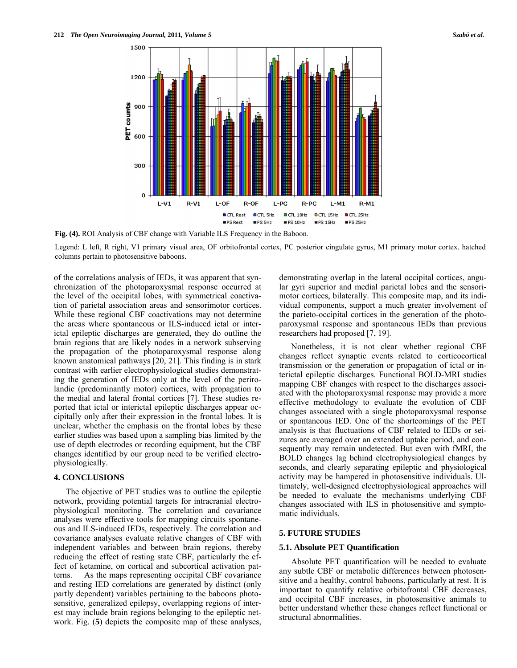

**Fig. (4).** ROI Analysis of CBF change with Variable ILS Frequency in the Baboon.

Legend: L left, R right, V1 primary visual area, OF orbitofrontal cortex, PC posterior cingulate gyrus, M1 primary motor cortex. hatched columns pertain to photosensitive baboons.

of the correlations analysis of IEDs, it was apparent that synchronization of the photoparoxysmal response occurred at the level of the occipital lobes, with symmetrical coactivation of parietal association areas and sensorimotor cortices. While these regional CBF coactivations may not determine the areas where spontaneous or ILS-induced ictal or interictal epileptic discharges are generated, they do outline the brain regions that are likely nodes in a network subserving the propagation of the photoparoxysmal response along known anatomical pathways [20, 21]. This finding is in stark contrast with earlier electrophysiological studies demonstrating the generation of IEDs only at the level of the perirolandic (predominantly motor) cortices, with propagation to the medial and lateral frontal cortices [7]. These studies reported that ictal or interictal epileptic discharges appear occipitally only after their expression in the frontal lobes. It is unclear, whether the emphasis on the frontal lobes by these earlier studies was based upon a sampling bias limited by the use of depth electrodes or recording equipment, but the CBF changes identified by our group need to be verified electrophysiologically.

# **4. CONCLUSIONS**

 The objective of PET studies was to outline the epileptic network, providing potential targets for intracranial electrophysiological monitoring. The correlation and covariance analyses were effective tools for mapping circuits spontaneous and ILS-induced IEDs, respectively. The correlation and covariance analyses evaluate relative changes of CBF with independent variables and between brain regions, thereby reducing the effect of resting state CBF, particularly the effect of ketamine, on cortical and subcortical activation patterns. As the maps representing occipital CBF covariance and resting IED correlations are generated by distinct (only partly dependent) variables pertaining to the baboons photosensitive, generalized epilepsy, overlapping regions of interest may include brain regions belonging to the epileptic network. Fig. (**5**) depicts the composite map of these analyses, demonstrating overlap in the lateral occipital cortices, angular gyri superior and medial parietal lobes and the sensorimotor cortices, bilaterally. This composite map, and its individual components, support a much greater involvement of the parieto-occipital cortices in the generation of the photoparoxysmal response and spontaneous IEDs than previous researchers had proposed [7, 19].

 Nonetheless, it is not clear whether regional CBF changes reflect synaptic events related to corticocortical transmission or the generation or propagation of ictal or interictal epileptic discharges. Functional BOLD-MRI studies mapping CBF changes with respect to the discharges associated with the photoparoxysmal response may provide a more effective methodology to evaluate the evolution of CBF changes associated with a single photoparoxysmal response or spontaneous IED. One of the shortcomings of the PET analysis is that fluctuations of CBF related to IEDs or seizures are averaged over an extended uptake period, and consequently may remain undetected. But even with fMRI, the BOLD changes lag behind electrophysiological changes by seconds, and clearly separating epileptic and physiological activity may be hampered in photosensitive individuals. Ultimately, well-designed electrophysiological approaches will be needed to evaluate the mechanisms underlying CBF changes associated with ILS in photosensitive and symptomatic individuals.

### **5. FUTURE STUDIES**

### **5.1. Absolute PET Quantification**

 Absolute PET quantification will be needed to evaluate any subtle CBF or metabolic differences between photosensitive and a healthy, control baboons, particularly at rest. It is important to quantify relative orbitofrontal CBF decreases, and occipital CBF increases, in photosensitive animals to better understand whether these changes reflect functional or structural abnormalities.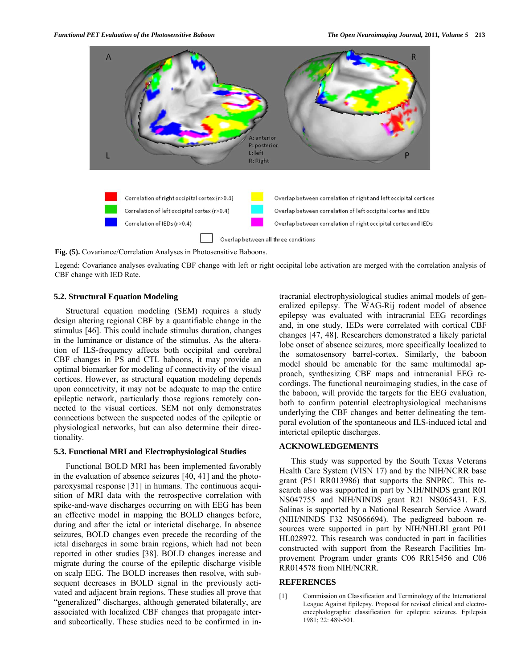

**Fig. (5).** Covariance/Correlation Analyses in Photosensitive Baboons.

Legend: Covariance analyses evaluating CBF change with left or right occipital lobe activation are merged with the correlation analysis of CBF change with IED Rate.

# **5.2. Structural Equation Modeling**

 Structural equation modeling (SEM) requires a study design altering regional CBF by a quantifiable change in the stimulus [46]. This could include stimulus duration, changes in the luminance or distance of the stimulus. As the alteration of ILS-frequency affects both occipital and cerebral CBF changes in PS and CTL baboons, it may provide an optimal biomarker for modeling of connectivity of the visual cortices. However, as structural equation modeling depends upon connectivity, it may not be adequate to map the entire epileptic network, particularly those regions remotely connected to the visual cortices. SEM not only demonstrates connections between the suspected nodes of the epileptic or physiological networks, but can also determine their directionality.

### **5.3. Functional MRI and Electrophysiological Studies**

 Functional BOLD MRI has been implemented favorably in the evaluation of absence seizures [40, 41] and the photoparoxysmal response [31] in humans. The continuous acquisition of MRI data with the retrospective correlation with spike-and-wave discharges occurring on with EEG has been an effective model in mapping the BOLD changes before, during and after the ictal or interictal discharge. In absence seizures, BOLD changes even precede the recording of the ictal discharges in some brain regions, which had not been reported in other studies [38]. BOLD changes increase and migrate during the course of the epileptic discharge visible on scalp EEG. The BOLD increases then resolve, with subsequent decreases in BOLD signal in the previously activated and adjacent brain regions. These studies all prove that "generalized" discharges, although generated bilaterally, are associated with localized CBF changes that propagate interand subcortically. These studies need to be confirmed in intracranial electrophysiological studies animal models of generalized epilepsy. The WAG-Rij rodent model of absence epilepsy was evaluated with intracranial EEG recordings and, in one study, IEDs were correlated with cortical CBF changes [47, 48]. Researchers demonstrated a likely parietal lobe onset of absence seizures, more specifically localized to the somatosensory barrel-cortex. Similarly, the baboon model should be amenable for the same multimodal approach, synthesizing CBF maps and intracranial EEG recordings. The functional neuroimaging studies, in the case of the baboon, will provide the targets for the EEG evaluation, both to confirm potential electrophysiological mechanisms underlying the CBF changes and better delineating the temporal evolution of the spontaneous and ILS-induced ictal and interictal epileptic discharges.

# **ACKNOWLEDGEMENTS**

 This study was supported by the South Texas Veterans Health Care System (VISN 17) and by the NIH/NCRR base grant (P51 RR013986) that supports the SNPRC. This research also was supported in part by NIH/NINDS grant R01 NS047755 and NIH/NINDS grant R21 NS065431. F.S. Salinas is supported by a National Research Service Award (NIH/NINDS F32 NS066694). The pedigreed baboon resources were supported in part by NIH/NHLBI grant P01 HL028972. This research was conducted in part in facilities constructed with support from the Research Facilities Improvement Program under grants C06 RR15456 and C06 RR014578 from NIH/NCRR.

# **REFERENCES**

[1] Commission on Classification and Terminology of the International League Against Epilepsy. Proposal for revised clinical and electroencephalographic classification for epileptic seizures. Epilepsia 1981; 22: 489-501.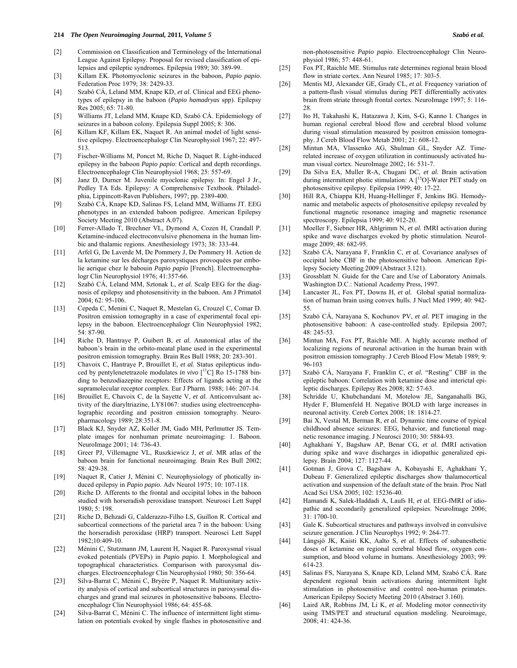- [2] Commission on Classification and Terminology of the International League Against Epilepsy. Proposal for revised classification of epilepsies and epileptic syndromes. Epilepsia 1989; 30: 389-99.
- [3] Killam EK. Photomyoclonic seizures in the baboon, *Papio papio*. Federation Proc 1979; 38: 2429-33.
- [4] Szabó CÁ, Leland MM, Knape KD, *et al.* Clinical and EEG phenotypes of epilepsy in the baboon (*Papio hamadryas* spp). Epilepsy Res 2005; 65: 71-80.
- [5] Williams JT, Leland MM, Knape KD, Szabó CÁ. Epidemiology of seizures in a baboon colony. Epilepsia Suppl 2005; 8: 306.
- [6] Killam KF, Killam EK, Naquet R. An animal model of light sensitive epilepsy. Electroencephalogr Clin Neurophysiol 1967; 22: 497- 513.
- [7] Fischer-Williams M, Poncet M, Riche D, Naquet R. Light-induced epilepsy in the baboon *Papio papio*: Cortical and depth recordings. Electroencephalogr Clin Neurophysiol 1968; 25: 557-69.
- [8] Janz D, Durner M. Juvenile myoclonic epilepsy. In: Engel J Jr., Pedley TA Eds. Epilepsy: A Comprehensive Textbook. Philadelphia, Lippincott-Raven Publishers, 1997; pp. 2389-400.
- [9] Szabó CÁ, Knape KD, Salinas FS, Leland MM, Williams JT. EEG phenotypes in an extended baboon pedigree. American Epilepsy Society Meeting 2010 (Abstract A.07).
- [10] Ferrer-Allado T, Brechner VL, Dymond A, Cozen H, Crandall P. Ketamine-induced electroconvulsive phenomena in the human limbic and thalamic regions. Anesthesiology 1973; 38: 333-44.
- [11] Arfel G, De Laverde M, De Pommery J, De Pommery H. Action de la ketamine sur les décharges paroxystiques provoquées par embolie aerique chez le babouin *Papio papio* [French]. Electroencephalogr Clin Neurophysiol 1976; 41:357-66.
- [12] Szabó CÁ, Leland MM, Sztonak L, *et al.* Scalp EEG for the diagnosis of epilepsy and photosensitivity in the baboon. Am J Primatol 2004; 62: 95-106.
- [13] Cepeda C, Menini C, Naquet R, Mestelan G, Crouzel C, Comar D. Positron emission tomography in a case of experimental focal epilepsy in the baboon. Electroencephalogr Clin Neurophysiol 1982; 54: 87-90.
- [14] Riche D, Hantraye P, Guibert B, *et al.* Anatomical atlas of the baboon's brain in the orbito-meatal plane used in the experimental positron emission tomography. Brain Res Bull 1988; 20: 283-301.
- [15] Chavoix C, Hantraye P, Brouillet E, *et al.* Status epilepticus induced by pentylenetetrazole modulates *in vivo* [<sup>11</sup>C] Ro 15-1788 binding to benzodiazepine receptors: Effects of ligands acting at the supramolecular receptor complex. Eur J Pharm. 1988; 146: 207-14.
- [16] Brouillet E, Chavoix C, de la Sayette V, *et al.* Anticonvulsant activity of the diaryltriazine, LY81067: studies using electroencephalographic recording and positron emission tomography. Neuropharmacology 1989; 28:351-8.
- [17] Black KJ, Snyder AZ, Koller JM, Gado MH, Perlmutter JS. Template images for nonhuman primate neuroimaging: 1. Baboon. NeuroImage 2001; 14: 736-43.
- [18] Greer PJ, Villemagne VL, Ruszkiewicz J, *et al.* MR atlas of the baboon brain for functional neuroimaging. Brain Res Bull 2002; 58: 429-38.
- [19] Naquet R, Catier J, Ménini C. Neurophysiology of photically induced epilepsy in *Papio papio*. Adv Neurol 1975; 10: 107-118.
- [20] Riche D. Afferents to the frontal and occipital lobes in the baboon studied with horseradish peroxidase transport. Neurosci Lett Suppl  $1980 \cdot 5 \cdot 198$
- [21] Riche D, Behzadi G, Calderazzo-Filho LS, Guillon R. Cortical and subcortical connections of the parietal area 7 in the baboon: Using the horseradish peroxidase (HRP) transport. Neurosci Lett Suppl 1982;10:409-10.
- [22] Ménini C, Stutzmann JM, Laurent H, Naquet R. Paroxysmal visual evoked potentials (PVEPs) in *Papio papio*. I. Morphological and topographical characteristics. Comparison with paroxysmal discharges. Electroencephalogr Clin Neurophysiol 1980; 50: 356-64.
- [23] Silva-Barrat C, Ménini C, Bryère P, Naquet R. Multiunitary activity analysis of cortical and subcortical structures in paroxysmal discharges and grand mal seizures in photosensitive baboons. Electroencephalogr Clin Neurophysiol 1986; 64: 455-68.
- [24] Silva-Barrat C, Ménini C. The influence of intermittent light stimulation on potentials evoked by single flashes in photosensitive and

non-photosensitive *Papio papio*. Electroencephalogr Clin Neurophysiol 1986; 57: 448-61.

- [25] Fox PT, Raichle ME. Stimulus rate determines regional brain blood flow in striate cortex. Ann Neurol 1985; 17: 303-5.
- [26] Mentis MJ, Alexander GE, Grady CL, et al. Frequency variation of a pattern-flash visual stimulus during PET differentially activates brain from striate through frontal cortex. NeuroImage 1997; 5: 116- 28.
- [27] Ito H, Takahashi K, Hatazawa J, Kim, S-G, Kanno I. Changes in human regional cerebral blood flow and cerebral blood volume during visual stimulation measured by positron emission tomography. J Cereb Blood Flow Metab 2001; 21: 608-12.
- [28] Mintun MA, Vlassenko AG, Shulman GL, Snyder AZ. Timerelated increase of oxygen utilization in continuously activated human visual cortex. NeuroImage 2002; 16: 531-7.
- [29] Da Silva EA, Muller R-A, Chugani DC, *et al.* Brain activation during intermittent photic stimulation: A  $\lceil$ <sup>15</sup>O]-Water PET study on photosensitive epilepsy. Epilepsia 1999; 40: 17-22.
- [30] Hill RA, Chiappa KH, Huang-Hellinger F, Jenkins BG. Hemodynamic and metabolic aspects of photosensitive epilepsy revealed by functional magnetic resonance imaging and magnetic resonance spectroscopy. Epilepsia 1999; 40: 912-20.
- [31] Moeller F, Siebner HR, Ahlgrimm N, *et al.* **fMRI** activation during spike and wave discharges evoked by photic stimulation. NeuroImage 2009; 48: 682-95.
- [32] Szabó CÁ, Narayana F, Franklin C, *et al.* Covariance analyses of occipital lobe CBF in the photosensitive baboon. American Epilepsy Society Meeting 2009 (Abstract 3.121).
- [33] Grossblatt N. Guide for the Care and Use of Laboratory Animals. Washington D.C.: National Academy Press, 1997.
- [34] Lancaster JL, Fox PT, Downs H, *et al.* Global spatial normalization of human brain using convex hulls. J Nucl Med 1999; 40: 942- 55.
- [35] Szabó CÁ, Narayana S, Kochunov PV, *et al.* PET imaging in the photosensitive baboon: A case-controlled study. Epilepsia 2007; 48: 245-53.
- [36] Mintun MA, Fox PT, Raichle ME. A highly accurate method of localizing regions of neuronal activation in the human brain with positron emission tomography. J Cereb Blood Flow Metab 1989; 9: 96-103
- [37] Szabó CÁ, Narayana F, Franklin C, *et al.* "Resting" CBF in the epileptic baboon: Correlation with ketamine dose and interictal epileptic discharges. Epilepsy Res 2008; 82: 57-63.
- [38] Schridde U, Khubchandani M, Motelow JE, Sanganahalli BG, Hyder F, Blumenfeld H. Negative BOLD with large increases in neuronal activity. Cereb Cortex 2008; 18: 1814-27.
- [39] Bai X, Vestal M, Berman R, *et al.* Dynamic time course of typical childhood absence seizures: EEG, behavior, and functional magnetic resonance imaging. J Neurosci 2010; 30: 5884-93.
- [40] Aghakhani Y, Bagshaw AP, Benar CG, *et al.* fMRI activation during spike and wave discharges in idiopathic generalized epilepsy. Brain 2004; 127: 1127-44.
- [41] Gotman J, Grova C, Bagshaw A, Kobayashi E, Aghakhani Y, Dubeau F. Generalized epileptic discharges show thalamocortical activation and suspension of the default state of the brain. Proc Natl Acad Sci USA 2005; 102: 15236-40.
- [42] Hamandi K, Salek-Haddadi A, Laufs H, *et al.* EEG-fMRI of idiopathic and secondarily generalized epilepsies. NeuroImage 2006; 31: 1700-10.
- [43] Gale K. Subcortical structures and pathways involved in convulsive seizure generation. J Clin Neurophys 1992; 9: 264-77.
- [44] Långsjö JK, Kaisti KK, Aalto S, *et al.* Effects of subanesthetic doses of ketamine on regional cerebral blood flow, oxygen consumption, and blood volume in humans. Anesthesiology 2003; 99: 614-23.
- [45] Salinas FS, Narayana S, Knape KD, Leland MM, Szabó CÁ. Rate dependent regional brain activations during intermittent light stimulation in photosensitive and control non-human primates. American Epilepsy Society Meeting 2010 (Abstract 3.160).
- [46] Laird AR, Robbins JM, Li K, *et al.* Modeling motor connectivity using TMS/PET and structural equation modeling. Neuroimage, 2008; 41: 424-36.